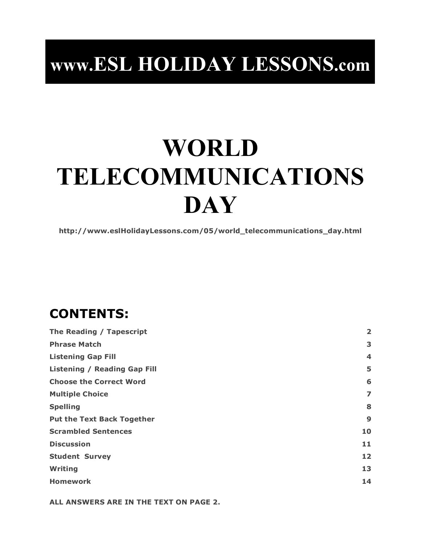## **www.ESL HOLIDAY LESSONS.com**

# **WORLD TELECOMMUNICATIONS DAY**

**http://www.eslHolidayLessons.com/05/world\_telecommunications\_day.html**

## **CONTENTS:**

| The Reading / Tapescript            | $\overline{\mathbf{2}}$ |
|-------------------------------------|-------------------------|
| <b>Phrase Match</b>                 | 3                       |
| <b>Listening Gap Fill</b>           | 4                       |
| <b>Listening / Reading Gap Fill</b> | 5                       |
| <b>Choose the Correct Word</b>      | 6                       |
| <b>Multiple Choice</b>              | 7                       |
| <b>Spelling</b>                     | 8                       |
| <b>Put the Text Back Together</b>   | 9                       |
| <b>Scrambled Sentences</b>          | 10                      |
| <b>Discussion</b>                   | 11                      |
| <b>Student Survey</b>               | 12                      |
| Writing                             | 13                      |
| <b>Homework</b>                     | 14                      |

**ALL ANSWERS ARE IN THE TEXT ON PAGE 2.**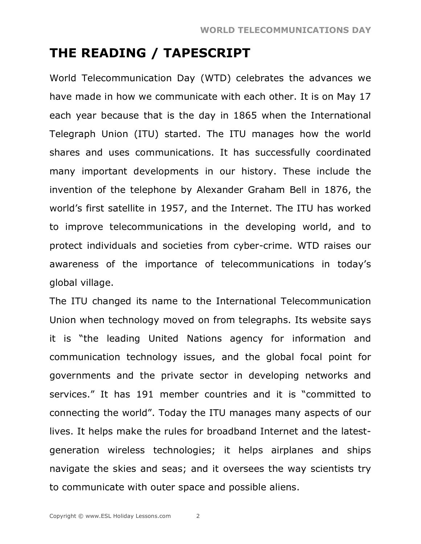## **THE READING / TAPESCRIPT**

World Telecommunication Day (WTD) celebrates the advances we have made in how we communicate with each other. It is on May 17 each year because that is the day in 1865 when the International Telegraph Union (ITU) started. The ITU manages how the world shares and uses communications. It has successfully coordinated many important developments in our history. These include the invention of the telephone by Alexander Graham Bell in 1876, the world's first satellite in 1957, and the Internet. The ITU has worked to improve telecommunications in the developing world, and to protect individuals and societies from cyber-crime. WTD raises our awareness of the importance of telecommunications in today's global village.

The ITU changed its name to the International Telecommunication Union when technology moved on from telegraphs. Its website says it is "the leading United Nations agency for information and communication technology issues, and the global focal point for governments and the private sector in developing networks and services." It has 191 member countries and it is "committed to connecting the world". Today the ITU manages many aspects of our lives. It helps make the rules for broadband Internet and the latestgeneration wireless technologies; it helps airplanes and ships navigate the skies and seas; and it oversees the way scientists try to communicate with outer space and possible aliens.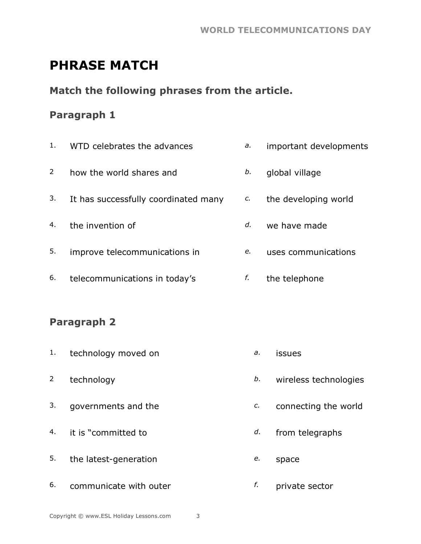## **PHRASE MATCH**

#### **Match the following phrases from the article.**

#### **Paragraph 1**

| 1.             | WTD celebrates the advances          | a. | important developments |
|----------------|--------------------------------------|----|------------------------|
| $\overline{2}$ | how the world shares and             | b. | global village         |
| 3.             | It has successfully coordinated many | C. | the developing world   |
| 4.             | the invention of                     | d. | we have made           |
| 5.             | improve telecommunications in        | e. | uses communications    |
| 6.             | telecommunications in today's        | f. | the telephone          |

#### **Paragraph 2**

- 1. technology moved on *a.* issues
- 
- 3. governments and the *c.* connecting the world
- 4. it is "committed to *d.* from telegraphs
- 5. the latest-generation *e.* space
- 6. communicate with outer *f.* private sector
- 
- 2 technology *b.* wireless technologies
	-
	-
	- -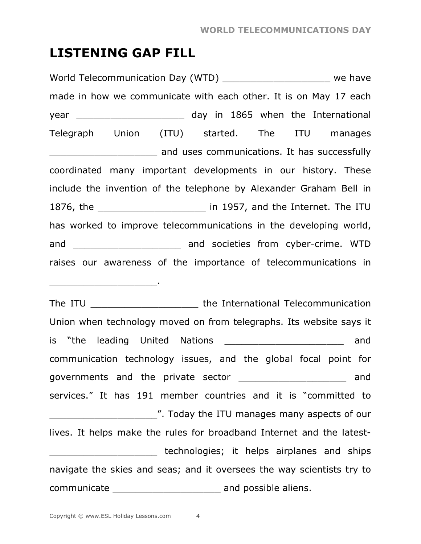### **LISTENING GAP FILL**

World Telecommunication Day (WTD) \_\_\_\_\_\_\_\_\_\_\_\_\_\_\_\_\_\_\_\_\_\_\_ we have made in how we communicate with each other. It is on May 17 each year and the United States of the International vear and the International Telegraph Union (ITU) started. The ITU manages **EXECUTE:** The successfully and uses communications. It has successfully coordinated many important developments in our history. These include the invention of the telephone by Alexander Graham Bell in 1876, the \_\_\_\_\_\_\_\_\_\_\_\_\_\_\_\_\_\_\_ in 1957, and the Internet. The ITU has worked to improve telecommunications in the developing world, and \_\_\_\_\_\_\_\_\_\_\_\_\_\_\_\_\_\_\_\_\_\_\_\_\_\_ and societies from cyber-crime. WTD raises our awareness of the importance of telecommunications in

The ITU **The ITU The International Telecommunication** Union when technology moved on from telegraphs. Its website says it is "the leading United Nations and the leading United Nations and communication technology issues, and the global focal point for governments and the private sector \_\_\_\_\_\_\_\_\_\_\_\_\_\_\_\_\_\_\_ and services." It has 191 member countries and it is "committed to Today the ITU manages many aspects of our lives. It helps make the rules for broadband Internet and the latest- **EXECUTE:** THE MODE of the technologies; it helps airplanes and ships navigate the skies and seas; and it oversees the way scientists try to communicate \_\_\_\_\_\_\_\_\_\_\_\_\_\_\_\_\_\_\_ and possible aliens.

 $\frac{1}{2}$  ,  $\frac{1}{2}$  ,  $\frac{1}{2}$  ,  $\frac{1}{2}$  ,  $\frac{1}{2}$  ,  $\frac{1}{2}$  ,  $\frac{1}{2}$  ,  $\frac{1}{2}$  ,  $\frac{1}{2}$  ,  $\frac{1}{2}$  ,  $\frac{1}{2}$  ,  $\frac{1}{2}$  ,  $\frac{1}{2}$  ,  $\frac{1}{2}$  ,  $\frac{1}{2}$  ,  $\frac{1}{2}$  ,  $\frac{1}{2}$  ,  $\frac{1}{2}$  ,  $\frac{1$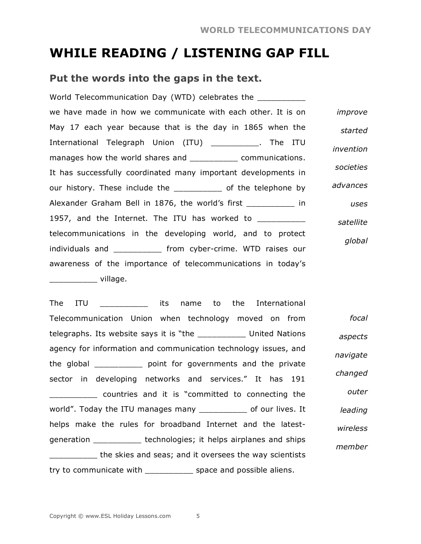## **WHILE READING / LISTENING GAP FILL**

#### **Put the words into the gaps in the text.**

World Telecommunication Day (WTD) celebrates the we have made in how we communicate with each other. It is on May 17 each year because that is the day in 1865 when the International Telegraph Union (ITU) The ITU manages how the world shares and **with communications**. It has successfully coordinated many important developments in our history. These include the \_\_\_\_\_\_\_\_\_\_\_\_ of the telephone by Alexander Graham Bell in 1876, the world's first \_\_\_\_\_\_\_\_\_\_ in 1957, and the Internet. The ITU has worked to \_\_\_\_\_\_\_\_\_\_ telecommunications in the developing world, and to protect individuals and \_\_\_\_\_\_\_\_\_\_ from cyber-crime. WTD raises our awareness of the importance of telecommunications in today's \_\_\_\_\_\_\_\_\_\_ village. *improve started invention societies advances uses satellite global*

The ITU and its name to the International Telecommunication Union when technology moved on from telegraphs. Its website says it is "the \_\_\_\_\_\_\_\_\_\_ United Nations agency for information and communication technology issues, and the global \_\_\_\_\_\_\_\_\_\_ point for governments and the private sector in developing networks and services." It has 191 countries and it is "committed to connecting the world". Today the ITU manages many \_\_\_\_\_\_\_\_\_\_ of our lives. It helps make the rules for broadband Internet and the latestgeneration \_\_\_\_\_\_\_\_\_\_ technologies; it helps airplanes and ships \_\_\_\_\_\_\_\_\_\_ the skies and seas; and it oversees the way scientists try to communicate with subsetional space and possible aliens. *focal aspects navigate changed outer leading wireless member*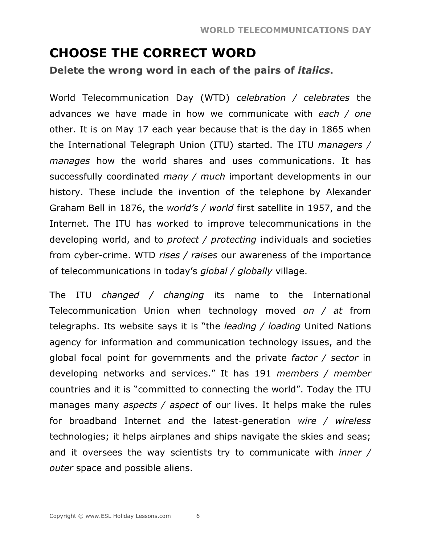## **CHOOSE THE CORRECT WORD**

**Delete the wrong word in each of the pairs of** *italics***.**

World Telecommunication Day (WTD) *celebration / celebrates* the advances we have made in how we communicate with *each / one* other. It is on May 17 each year because that is the day in 1865 when the International Telegraph Union (ITU) started. The ITU *managers / manages* how the world shares and uses communications. It has successfully coordinated *many / much* important developments in our history. These include the invention of the telephone by Alexander Graham Bell in 1876, the *world's / world* first satellite in 1957, and the Internet. The ITU has worked to improve telecommunications in the developing world, and to *protect / protecting* individuals and societies from cyber-crime. WTD *rises / raises* our awareness of the importance of telecommunications in today's *global / globally* village.

The ITU *changed / changing* its name to the International Telecommunication Union when technology moved *on / at* from telegraphs. Its website says it is "the *leading / loading* United Nations agency for information and communication technology issues, and the global focal point for governments and the private *factor / sector* in developing networks and services." It has 191 *members / member* countries and it is "committed to connecting the world". Today the ITU manages many *aspects / aspect* of our lives. It helps make the rules for broadband Internet and the latest-generation *wire / wireless* technologies; it helps airplanes and ships navigate the skies and seas; and it oversees the way scientists try to communicate with *inner / outer* space and possible aliens.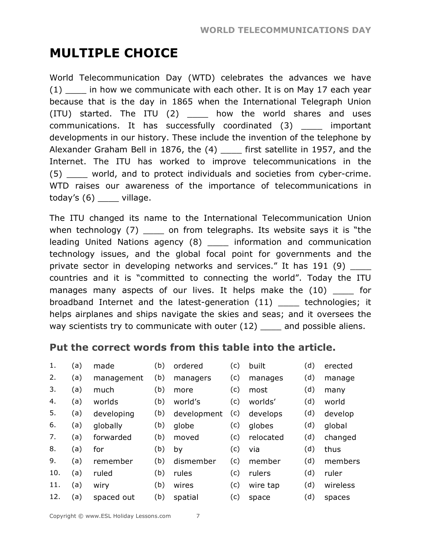## **MULTIPLE CHOICE**

World Telecommunication Day (WTD) celebrates the advances we have  $(1)$  in how we communicate with each other. It is on May 17 each year because that is the day in 1865 when the International Telegraph Union (ITU) started. The ITU (2) \_\_\_\_ how the world shares and uses communications. It has successfully coordinated (3) \_\_\_\_ important developments in our history. These include the invention of the telephone by Alexander Graham Bell in 1876, the (4) \_\_\_\_ first satellite in 1957, and the Internet. The ITU has worked to improve telecommunications in the (5) \_\_\_\_ world, and to protect individuals and societies from cyber-crime. WTD raises our awareness of the importance of telecommunications in today's  $(6)$  \_\_\_\_\_ village.

The ITU changed its name to the International Telecommunication Union when technology  $(7)$  on from telegraphs. Its website says it is "the leading United Nations agency (8) \_\_\_\_ information and communication technology issues, and the global focal point for governments and the private sector in developing networks and services." It has 191 (9) countries and it is "committed to connecting the world". Today the ITU manages many aspects of our lives. It helps make the (10) \_\_\_\_ for broadband Internet and the latest-generation (11) \_\_\_\_ technologies; it helps airplanes and ships navigate the skies and seas; and it oversees the way scientists try to communicate with outer (12) and possible aliens.

#### **Put the correct words from this table into the article.**

| 1.  | (a) | made       | (b) | ordered     | (c) | built     | (d) | erected  |
|-----|-----|------------|-----|-------------|-----|-----------|-----|----------|
| 2.  | (a) | management | (b) | managers    | (c) | manages   | (d) | manage   |
| 3.  | (a) | much       | (b) | more        | (c) | most      | (d) | many     |
| 4.  | (a) | worlds     | (b) | world's     | (c) | worlds'   | (d) | world    |
| 5.  | (a) | developing | (b) | development | (c) | develops  | (d) | develop  |
| 6.  | (a) | globally   | (b) | globe       | (c) | globes    | (d) | global   |
| 7.  | (a) | forwarded  | (b) | moved       | (c) | relocated | (d) | changed  |
| 8.  | (a) | for        | (b) | by          | (c) | via       | (d) | thus     |
| 9.  | (a) | remember   | (b) | dismember   | (c) | member    | (d) | members  |
| 10. | (a) | ruled      | (b) | rules       | (c) | rulers    | (d) | ruler    |
| 11. | (a) | wiry       | (b) | wires       | (c) | wire tap  | (d) | wireless |
| 12. | (a) | spaced out | (b) | spatial     | (c) | space     | (d) | spaces   |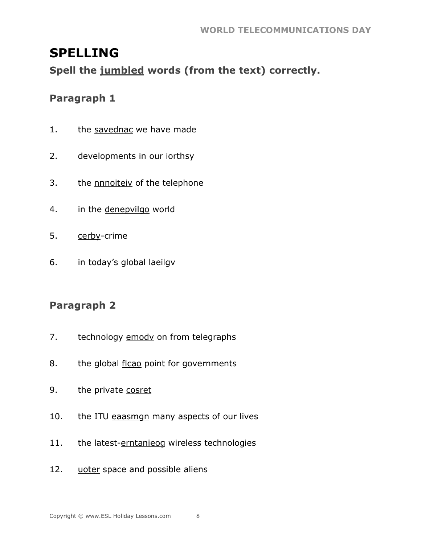## **SPELLING**

Spell the jumbled words (from the text) correctly.

#### Paragraph 1

- $1.$ the savednac we have made
- developments in our jorthsy  $2.$
- the **nnnoiteiv** of the telephone  $3.$
- in the denepvilgo world  $4.$
- 5. cerby-crime
- in today's global laeilgy 6.

#### **Paragraph 2**

- $7.$ technology emody on from telegraphs
- the global flcao point for governments 8.
- 9. the private cosret
- the ITU eaasmgn many aspects of our lives 10.
- the latest-erntanieog wireless technologies  $11.$

8

12. uoter space and possible aliens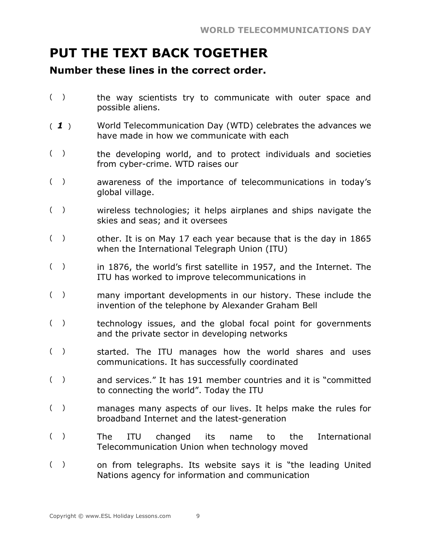## **PUT THE TEXT BACK TOGETHER**

#### **Number these lines in the correct order.**

- () the way scientists try to communicate with outer space and possible aliens.
- ( *1* ) World Telecommunication Day (WTD) celebrates the advances we have made in how we communicate with each
- () the developing world, and to protect individuals and societies from cyber-crime. WTD raises our
- ( ) awareness of the importance of telecommunications in today's global village.
- ( ) wireless technologies; it helps airplanes and ships navigate the skies and seas; and it oversees
- ( ) other. It is on May 17 each year because that is the day in 1865 when the International Telegraph Union (ITU)
- ( ) in 1876, the world's first satellite in 1957, and the Internet. The ITU has worked to improve telecommunications in
- ( ) many important developments in our history. These include the invention of the telephone by Alexander Graham Bell
- ( ) technology issues, and the global focal point for governments and the private sector in developing networks
- ( ) started. The ITU manages how the world shares and uses communications. It has successfully coordinated
- ( ) and services." It has 191 member countries and it is "committed to connecting the world". Today the ITU
- ( ) manages many aspects of our lives. It helps make the rules for broadband Internet and the latest-generation
- ( ) The ITU changed its name to the International Telecommunication Union when technology moved
- ( ) on from telegraphs. Its website says it is "the leading United Nations agency for information and communication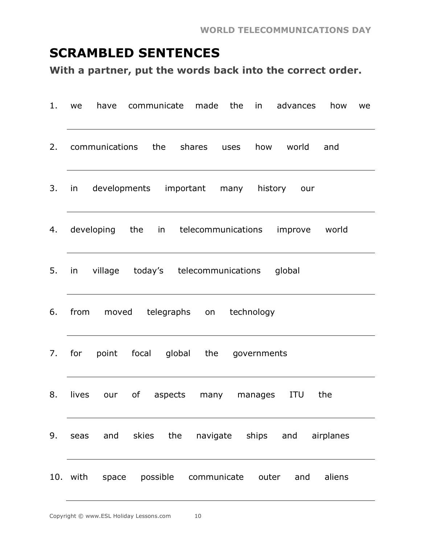## **SCRAMBLED SENTENCES**

**With a partner, put the words back into the correct order.**

| 1. | we       | have                               |  | communicate made the           |      | in the set | advances       | how                                                | we |
|----|----------|------------------------------------|--|--------------------------------|------|------------|----------------|----------------------------------------------------|----|
| 2. |          | communications the                 |  | shares                         | uses | how        | world          | and                                                |    |
| 3. | in       | developments important many        |  |                                |      |            | history<br>our |                                                    |    |
| 4. |          |                                    |  |                                |      |            |                | developing the in telecommunications improve world |    |
| 5. | in       | village today's telecommunications |  |                                |      |            | global         |                                                    |    |
| 6. | from     |                                    |  | moved telegraphs on technology |      |            |                |                                                    |    |
| 7. | for      | point focal global the governments |  |                                |      |            |                |                                                    |    |
| 8. | lives    | our                                |  | of aspects many manages        |      |            | ITU            | the                                                |    |
| 9. | seas     | and skies the                      |  |                                |      |            |                | navigate ships and airplanes                       |    |
|    | 10. with | space possible communicate outer   |  |                                |      |            | and            | aliens                                             |    |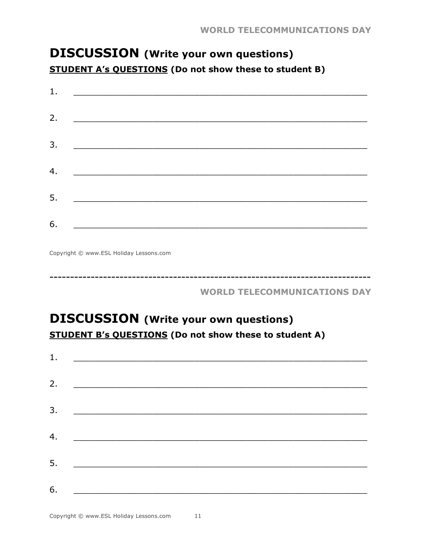## **DISCUSSION** (Write your own questions) **STUDENT A's QUESTIONS (Do not show these to student B)**

| 1. |                                                                 |  |
|----|-----------------------------------------------------------------|--|
| 2. |                                                                 |  |
| 3. | <u> 1980 - Johann John Stein, fransk politik (d. 1980)</u>      |  |
| 4. | <u> 1980 - Johann Barn, fransk politik amerikansk politik (</u> |  |
|    |                                                                 |  |
| 5. |                                                                 |  |
| 6. | <u> 1980 - Jan Stein Hermann, fransk politik (d. 1980)</u>      |  |

Copyright © www.ESL Holiday Lessons.com

**WORLD TELECOMMUNICATIONS DAY** 

## **DISCUSSION** (Write your own questions) **STUDENT B's QUESTIONS (Do not show these to student A)**

| 1. |                                                                                                                                                                                                                                      |  |  |
|----|--------------------------------------------------------------------------------------------------------------------------------------------------------------------------------------------------------------------------------------|--|--|
| 2. | <u> 1989 - Johann Johann Stoff, deutscher Stoffen und der Stoffen und der Stoffen und der Stoffen und der Stoffen</u>                                                                                                                |  |  |
| 3. |                                                                                                                                                                                                                                      |  |  |
|    |                                                                                                                                                                                                                                      |  |  |
| 4. | <u> 1980 - Jan Barnett, fransk politik (d. 1980)</u>                                                                                                                                                                                 |  |  |
| 5. | <u> 1980 - Jan Barnett, mars ann an t-Amhraid ann an t-Amhraid ann an t-Amhraid ann an t-Amhraid ann an t-Amhraid ann an t-Amhraid ann an t-Amhraid ann an t-Amhraid ann an t-Amhraid ann an t-Amhraid ann an t-Amhraid ann an t</u> |  |  |
| 6. |                                                                                                                                                                                                                                      |  |  |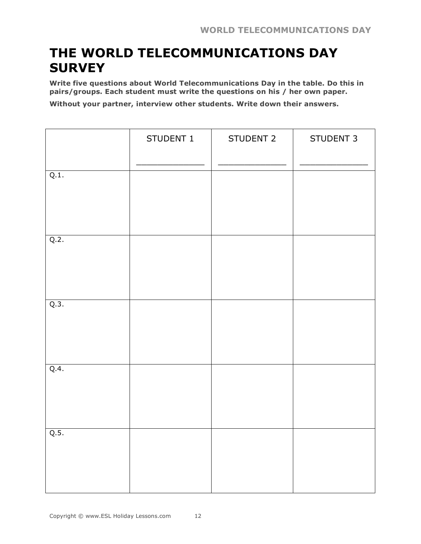## **THE WORLD TELECOMMUNICATIONS DAY SURVEY**

**Write five questions about World Telecommunications Day in the table. Do this in pairs/groups. Each student must write the questions on his / her own paper.**

**Without your partner, interview other students. Write down their answers.**

|      | STUDENT 1 | STUDENT 2 | STUDENT 3 |
|------|-----------|-----------|-----------|
| Q.1. |           |           |           |
| Q.2. |           |           |           |
| Q.3. |           |           |           |
| Q.4. |           |           |           |
| Q.5. |           |           |           |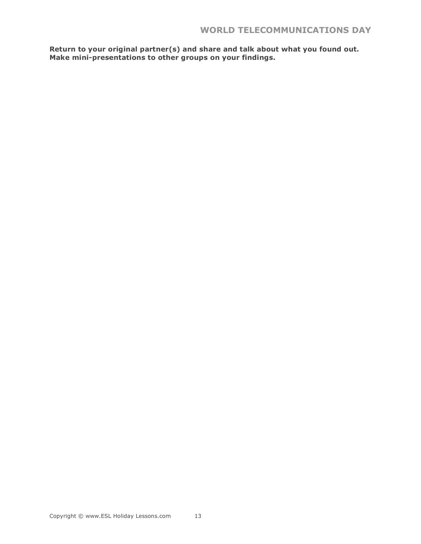**Return to your original partner(s) and share and talk about what you found out. Make mini-presentations to other groups on your findings.**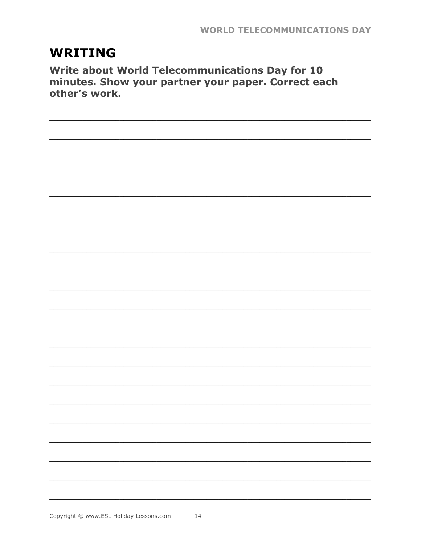## **WRITING**

Write about World Telecommunications Day for 10 minutes. Show your partner your paper. Correct each other's work.